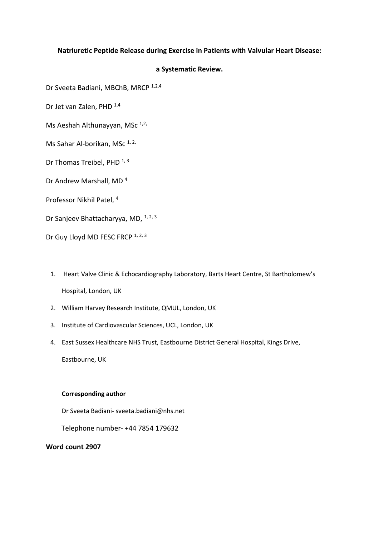# **Natriuretic Peptide Release during Exercise in Patients with Valvular Heart Disease:**

# **a Systematic Review.**

Dr Sveeta Badiani, MBChB, MRCP 1,2,4

Dr Jet van Zalen, PHD 1,4

Ms Aeshah Althunayyan, MSc 1,2,

Ms Sahar Al-borikan, MSc 1, 2,

Dr Thomas Treibel, PHD 1, 3

Dr Andrew Marshall, MD<sup>4</sup>

Professor Nikhil Patel, <sup>4</sup>

Dr Sanjeev Bhattacharyya, MD, <sup>1, 2, 3</sup>

Dr Guy Lloyd MD FESC FRCP 1, 2, 3

- 1. Heart Valve Clinic & Echocardiography Laboratory, Barts Heart Centre, St Bartholomew's Hospital, London, UK
- 2. William Harvey Research Institute, QMUL, London, UK
- 3. Institute of Cardiovascular Sciences, UCL, London, UK
- 4. East Sussex Healthcare NHS Trust, Eastbourne District General Hospital, Kings Drive, Eastbourne, UK

#### **Corresponding author**

Dr Sveeta Badiani- sveeta.badiani@nhs.net

Telephone number- +44 7854 179632

### **Word count 2907**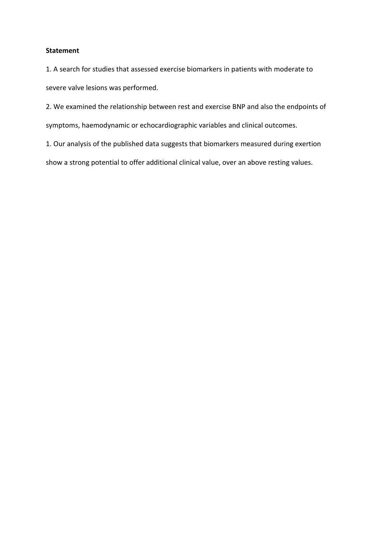# **Statement**

1. A search for studies that assessed exercise biomarkers in patients with moderate to severe valve lesions was performed.

2. We examined the relationship between rest and exercise BNP and also the endpoints of symptoms, haemodynamic or echocardiographic variables and clinical outcomes.

1. Our analysis of the published data suggests that biomarkers measured during exertion

show a strong potential to offer additional clinical value, over an above resting values.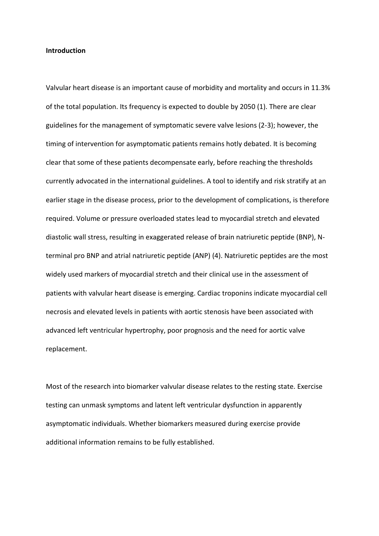### **Introduction**

Valvular heart disease is an important cause of morbidity and mortality and occurs in 11.3% of the total population. Its frequency is expected to double by 2050 (1). There are clear guidelines for the management of symptomatic severe valve lesions (2-3); however, the timing of intervention for asymptomatic patients remains hotly debated. It is becoming clear that some of these patients decompensate early, before reaching the thresholds currently advocated in the international guidelines. A tool to identify and risk stratify at an earlier stage in the disease process, prior to the development of complications, is therefore required. Volume or pressure overloaded states lead to myocardial stretch and elevated diastolic wall stress, resulting in exaggerated release of brain natriuretic peptide (BNP), Nterminal pro BNP and atrial natriuretic peptide (ANP) (4). Natriuretic peptides are the most widely used markers of myocardial stretch and their clinical use in the assessment of patients with valvular heart disease is emerging. Cardiac troponins indicate myocardial cell necrosis and elevated levels in patients with aortic stenosis have been associated with advanced left ventricular hypertrophy, poor prognosis and the need for aortic valve replacement.

Most of the research into biomarker valvular disease relates to the resting state. Exercise testing can unmask symptoms and latent left ventricular dysfunction in apparently asymptomatic individuals. Whether biomarkers measured during exercise provide additional information remains to be fully established.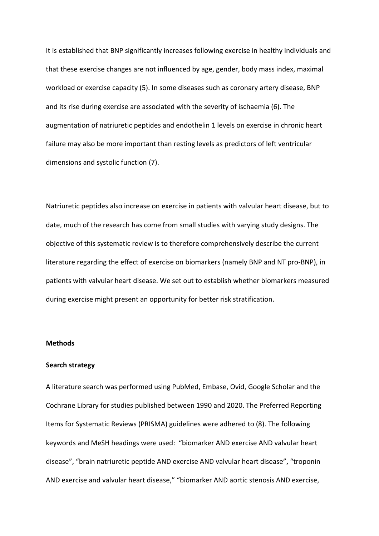It is established that BNP significantly increases following exercise in healthy individuals and that these exercise changes are not influenced by age, gender, body mass index, maximal workload or exercise capacity (5). In some diseases such as coronary artery disease, BNP and its rise during exercise are associated with the severity of ischaemia (6). The augmentation of natriuretic peptides and endothelin 1 levels on exercise in chronic heart failure may also be more important than resting levels as predictors of left ventricular dimensions and systolic function (7).

Natriuretic peptides also increase on exercise in patients with valvular heart disease, but to date, much of the research has come from small studies with varying study designs. The objective of this systematic review is to therefore comprehensively describe the current literature regarding the effect of exercise on biomarkers (namely BNP and NT pro-BNP), in patients with valvular heart disease. We set out to establish whether biomarkers measured during exercise might present an opportunity for better risk stratification.

#### **Methods**

#### **Search strategy**

A literature search was performed using PubMed, Embase, Ovid, Google Scholar and the Cochrane Library for studies published between 1990 and 2020. The Preferred Reporting Items for Systematic Reviews (PRISMA) guidelines were adhered to (8). The following keywords and MeSH headings were used: "biomarker AND exercise AND valvular heart disease", "brain natriuretic peptide AND exercise AND valvular heart disease", "troponin AND exercise and valvular heart disease," "biomarker AND aortic stenosis AND exercise,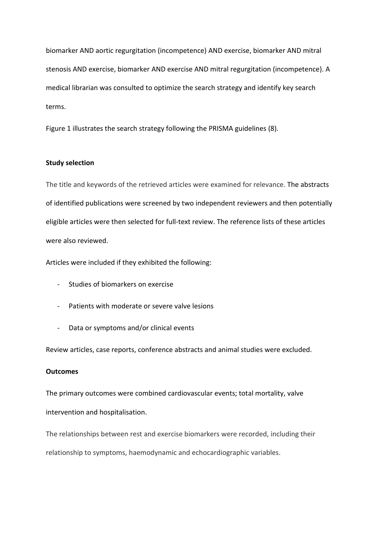biomarker AND aortic regurgitation (incompetence) AND exercise, biomarker AND mitral stenosis AND exercise, biomarker AND exercise AND mitral regurgitation (incompetence). A medical librarian was consulted to optimize the search strategy and identify key search terms.

Figure 1 illustrates the search strategy following the PRISMA guidelines (8).

## **Study selection**

The title and keywords of the retrieved articles were examined for relevance. The abstracts of identified publications were screened by two independent reviewers and then potentially eligible articles were then selected for full-text review. The reference lists of these articles were also reviewed.

Articles were included if they exhibited the following:

- Studies of biomarkers on exercise
- Patients with moderate or severe valve lesions
- Data or symptoms and/or clinical events

Review articles, case reports, conference abstracts and animal studies were excluded.

## **Outcomes**

The primary outcomes were combined cardiovascular events; total mortality, valve intervention and hospitalisation.

The relationships between rest and exercise biomarkers were recorded, including their relationship to symptoms, haemodynamic and echocardiographic variables.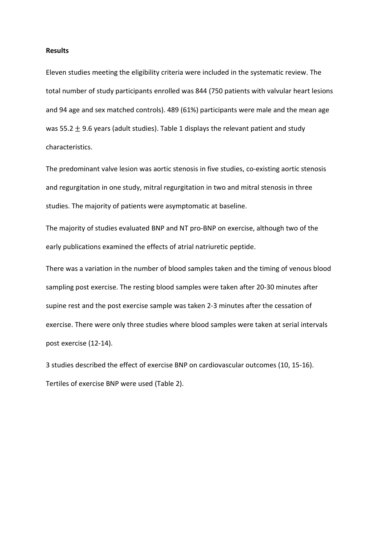#### **Results**

Eleven studies meeting the eligibility criteria were included in the systematic review. The total number of study participants enrolled was 844 (750 patients with valvular heart lesions and 94 age and sex matched controls). 489 (61%) participants were male and the mean age was 55.2  $\pm$  9.6 years (adult studies). Table 1 displays the relevant patient and study characteristics.

The predominant valve lesion was aortic stenosis in five studies, co-existing aortic stenosis and regurgitation in one study, mitral regurgitation in two and mitral stenosis in three studies. The majority of patients were asymptomatic at baseline.

The majority of studies evaluated BNP and NT pro-BNP on exercise, although two of the early publications examined the effects of atrial natriuretic peptide.

There was a variation in the number of blood samples taken and the timing of venous blood sampling post exercise. The resting blood samples were taken after 20-30 minutes after supine rest and the post exercise sample was taken 2-3 minutes after the cessation of exercise. There were only three studies where blood samples were taken at serial intervals post exercise (12-14).

3 studies described the effect of exercise BNP on cardiovascular outcomes (10, 15-16). Tertiles of exercise BNP were used (Table 2).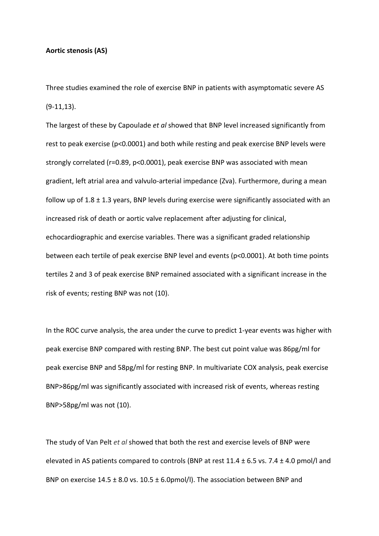### **Aortic stenosis (AS)**

Three studies examined the role of exercise BNP in patients with asymptomatic severe AS (9-11,13).

The largest of these by Capoulade *et al* showed that BNP level increased significantly from rest to peak exercise (p<0.0001) and both while resting and peak exercise BNP levels were strongly correlated (r=0.89, p<0.0001), peak exercise BNP was associated with mean gradient, left atrial area and valvulo-arterial impedance (Zva). Furthermore, during a mean follow up of  $1.8 \pm 1.3$  years, BNP levels during exercise were significantly associated with an increased risk of death or aortic valve replacement after adjusting for clinical, echocardiographic and exercise variables. There was a significant graded relationship between each tertile of peak exercise BNP level and events (p<0.0001). At both time points tertiles 2 and 3 of peak exercise BNP remained associated with a significant increase in the risk of events; resting BNP was not (10).

In the ROC curve analysis, the area under the curve to predict 1-year events was higher with peak exercise BNP compared with resting BNP. The best cut point value was 86pg/ml for peak exercise BNP and 58pg/ml for resting BNP. In multivariate COX analysis, peak exercise BNP>86pg/ml was significantly associated with increased risk of events, whereas resting BNP>58pg/ml was not (10).

The study of Van Pelt *et al* showed that both the rest and exercise levels of BNP were elevated in AS patients compared to controls (BNP at rest  $11.4 \pm 6.5$  vs. 7.4  $\pm$  4.0 pmol/l and BNP on exercise  $14.5 \pm 8.0$  vs.  $10.5 \pm 6.0$ pmol/l). The association between BNP and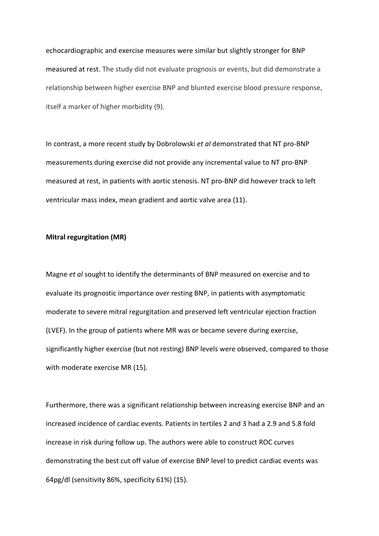echocardiographic and exercise measures were similar but slightly stronger for BNP measured at rest. The study did not evaluate prognosis or events, but did demonstrate a relationship between higher exercise BNP and blunted exercise blood pressure response, itself a marker of higher morbidity (9).

In contrast, a more recent study by Dobrolowski *et al* demonstrated that NT pro-BNP measurements during exercise did not provide any incremental value to NT pro-BNP measured at rest, in patients with aortic stenosis. NT pro-BNP did however track to left ventricular mass index, mean gradient and aortic valve area (11).

### **Mitral regurgitation (MR)**

Magne *et al* sought to identify the determinants of BNP measured on exercise and to evaluate its prognostic importance over resting BNP, in patients with asymptomatic moderate to severe mitral regurgitation and preserved left ventricular ejection fraction (LVEF). In the group of patients where MR was or became severe during exercise, significantly higher exercise (but not resting) BNP levels were observed, compared to those with moderate exercise MR (15).

Furthermore, there was a significant relationship between increasing exercise BNP and an increased incidence of cardiac events. Patients in tertiles 2 and 3 had a 2.9 and 5.8 fold increase in risk during follow up. The authors were able to construct ROC curves demonstrating the best cut off value of exercise BNP level to predict cardiac events was 64pg/dl (sensitivity 86%, specificity 61%) (15).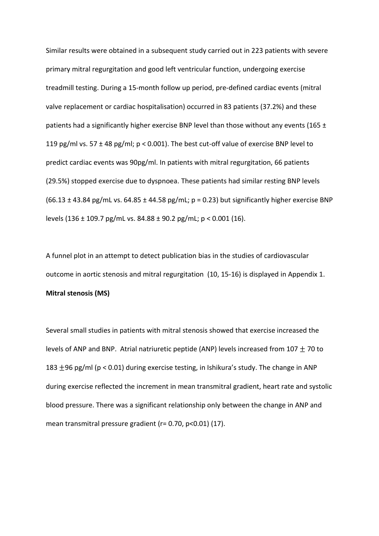Similar results were obtained in a subsequent study carried out in 223 patients with severe primary mitral regurgitation and good left ventricular function, undergoing exercise treadmill testing. During a 15-month follow up period, pre-defined cardiac events (mitral valve replacement or cardiac hospitalisation) occurred in 83 patients (37.2%) and these patients had a significantly higher exercise BNP level than those without any events (165 ± 119 pg/ml vs. 57 ± 48 pg/ml; p < 0.001). The best cut-off value of exercise BNP level to predict cardiac events was 90pg/ml. In patients with mitral regurgitation, 66 patients (29.5%) stopped exercise due to dyspnoea. These patients had similar resting BNP levels  $(66.13 \pm 43.84 \text{ pg/mL vs. } 64.85 \pm 44.58 \text{ pg/mL}; p = 0.23)$  but significantly higher exercise BNP levels (136 ± 109.7 pg/mL vs. 84.88 ± 90.2 pg/mL; p < 0.001 (16).

A funnel plot in an attempt to detect publication bias in the studies of cardiovascular outcome in aortic stenosis and mitral regurgitation (10, 15-16) is displayed in Appendix 1. **Mitral stenosis (MS)**

Several small studies in patients with mitral stenosis showed that exercise increased the levels of ANP and BNP. Atrial natriuretic peptide (ANP) levels increased from 107  $\pm$  70 to 183  $\pm$ 96 pg/ml (p < 0.01) during exercise testing, in Ishikura's study. The change in ANP during exercise reflected the increment in mean transmitral gradient, heart rate and systolic blood pressure. There was a significant relationship only between the change in ANP and mean transmitral pressure gradient (r= 0.70, p<0.01) (17).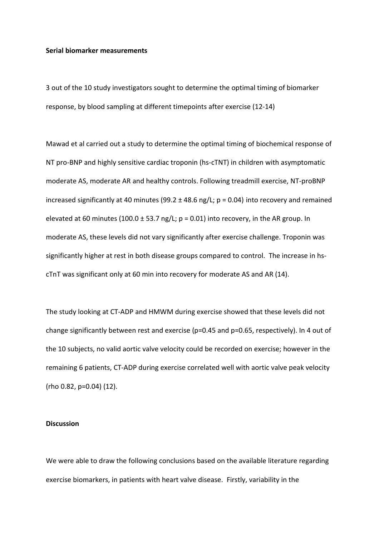### **Serial biomarker measurements**

3 out of the 10 study investigators sought to determine the optimal timing of biomarker response, by blood sampling at different timepoints after exercise (12-14)

Mawad et al carried out a study to determine the optimal timing of biochemical response of NT pro-BNP and highly sensitive cardiac troponin (hs-cTNT) in children with asymptomatic moderate AS, moderate AR and healthy controls. Following treadmill exercise, NT-proBNP increased significantly at 40 minutes (99.2  $\pm$  48.6 ng/L; p = 0.04) into recovery and remained elevated at 60 minutes (100.0  $\pm$  53.7 ng/L; p = 0.01) into recovery, in the AR group. In moderate AS, these levels did not vary significantly after exercise challenge. Troponin was significantly higher at rest in both disease groups compared to control. The increase in hscTnT was significant only at 60 min into recovery for moderate AS and AR (14).

The study looking at CT-ADP and HMWM during exercise showed that these levels did not change significantly between rest and exercise (p=0.45 and p=0.65, respectively). In 4 out of the 10 subjects, no valid aortic valve velocity could be recorded on exercise; however in the remaining 6 patients, CT-ADP during exercise correlated well with aortic valve peak velocity (rho 0.82, p=0.04) (12).

### **Discussion**

We were able to draw the following conclusions based on the available literature regarding exercise biomarkers, in patients with heart valve disease. Firstly, variability in the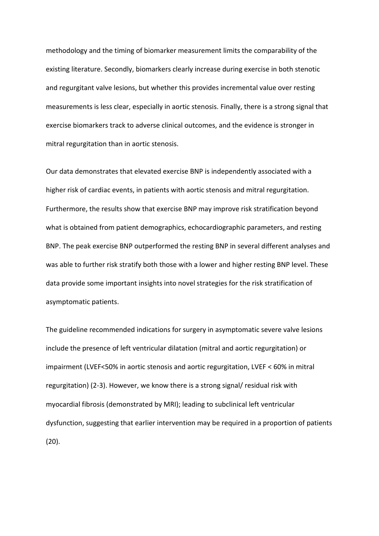methodology and the timing of biomarker measurement limits the comparability of the existing literature. Secondly, biomarkers clearly increase during exercise in both stenotic and regurgitant valve lesions, but whether this provides incremental value over resting measurements is less clear, especially in aortic stenosis. Finally, there is a strong signal that exercise biomarkers track to adverse clinical outcomes, and the evidence is stronger in mitral regurgitation than in aortic stenosis.

Our data demonstrates that elevated exercise BNP is independently associated with a higher risk of cardiac events, in patients with aortic stenosis and mitral regurgitation. Furthermore, the results show that exercise BNP may improve risk stratification beyond what is obtained from patient demographics, echocardiographic parameters, and resting BNP. The peak exercise BNP outperformed the resting BNP in several different analyses and was able to further risk stratify both those with a lower and higher resting BNP level. These data provide some important insights into novel strategies for the risk stratification of asymptomatic patients.

The guideline recommended indications for surgery in asymptomatic severe valve lesions include the presence of left ventricular dilatation (mitral and aortic regurgitation) or impairment (LVEF<50% in aortic stenosis and aortic regurgitation, LVEF < 60% in mitral regurgitation) (2-3). However, we know there is a strong signal/ residual risk with myocardial fibrosis (demonstrated by MRI); leading to subclinical left ventricular dysfunction, suggesting that earlier intervention may be required in a proportion of patients (20).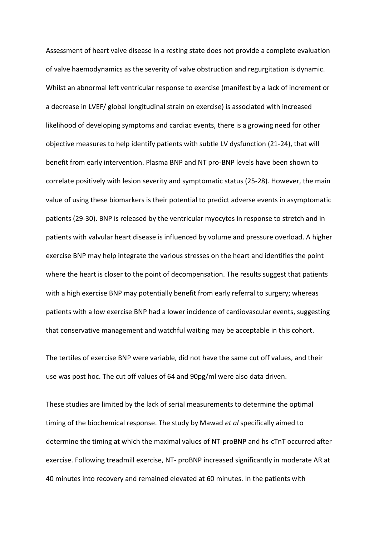Assessment of heart valve disease in a resting state does not provide a complete evaluation of valve haemodynamics as the severity of valve obstruction and regurgitation is dynamic. Whilst an abnormal left ventricular response to exercise (manifest by a lack of increment or a decrease in LVEF/ global longitudinal strain on exercise) is associated with increased likelihood of developing symptoms and cardiac events, there is a growing need for other objective measures to help identify patients with subtle LV dysfunction (21-24), that will benefit from early intervention. Plasma BNP and NT pro-BNP levels have been shown to correlate positively with lesion severity and symptomatic status (25-28). However, the main value of using these biomarkers is their potential to predict adverse events in asymptomatic patients (29-30). BNP is released by the ventricular myocytes in response to stretch and in patients with valvular heart disease is influenced by volume and pressure overload. A higher exercise BNP may help integrate the various stresses on the heart and identifies the point where the heart is closer to the point of decompensation. The results suggest that patients with a high exercise BNP may potentially benefit from early referral to surgery; whereas patients with a low exercise BNP had a lower incidence of cardiovascular events, suggesting that conservative management and watchful waiting may be acceptable in this cohort.

The tertiles of exercise BNP were variable, did not have the same cut off values, and their use was post hoc. The cut off values of 64 and 90pg/ml were also data driven.

These studies are limited by the lack of serial measurements to determine the optimal timing of the biochemical response. The study by Mawad *et al* specifically aimed to determine the timing at which the maximal values of NT-proBNP and hs-cTnT occurred after exercise. Following treadmill exercise, NT- proBNP increased significantly in moderate AR at 40 minutes into recovery and remained elevated at 60 minutes. In the patients with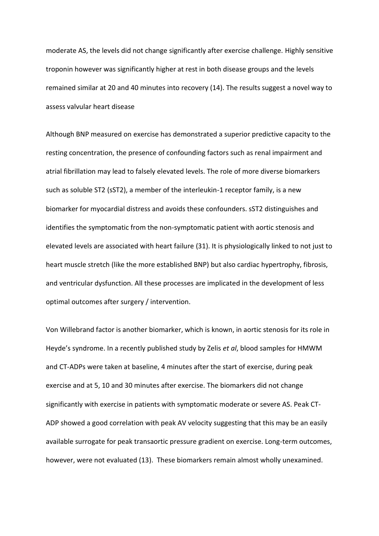moderate AS, the levels did not change significantly after exercise challenge. Highly sensitive troponin however was significantly higher at rest in both disease groups and the levels remained similar at 20 and 40 minutes into recovery (14). The results suggest a novel way to assess valvular heart disease

Although BNP measured on exercise has demonstrated a superior predictive capacity to the resting concentration, the presence of confounding factors such as renal impairment and atrial fibrillation may lead to falsely elevated levels. The role of more diverse biomarkers such as soluble ST2 (sST2), a member of the interleukin-1 receptor family, is a new biomarker for myocardial distress and avoids these confounders. sST2 distinguishes and identifies the symptomatic from the non-symptomatic patient with aortic stenosis and elevated levels are associated with heart failure (31). It is physiologically linked to not just to heart muscle stretch (like the more established BNP) but also cardiac hypertrophy, fibrosis, and ventricular dysfunction. All these processes are implicated in the development of less optimal outcomes after surgery / intervention.

Von Willebrand factor is another biomarker, which is known, in aortic stenosis for its role in Heyde's syndrome. In a recently published study by Zelis *et al*, blood samples for HMWM and CT-ADPs were taken at baseline, 4 minutes after the start of exercise, during peak exercise and at 5, 10 and 30 minutes after exercise. The biomarkers did not change significantly with exercise in patients with symptomatic moderate or severe AS. Peak CT-ADP showed a good correlation with peak AV velocity suggesting that this may be an easily available surrogate for peak transaortic pressure gradient on exercise. Long-term outcomes, however, were not evaluated (13). These biomarkers remain almost wholly unexamined.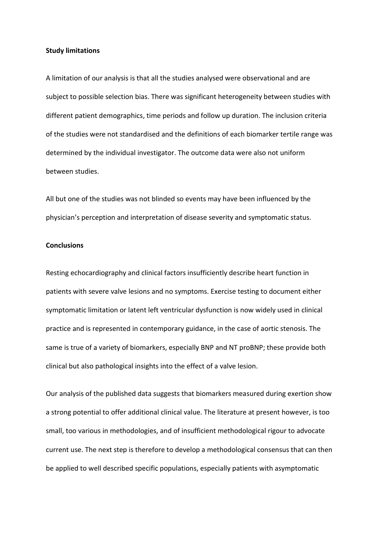### **Study limitations**

A limitation of our analysis is that all the studies analysed were observational and are subject to possible selection bias. There was significant heterogeneity between studies with different patient demographics, time periods and follow up duration. The inclusion criteria of the studies were not standardised and the definitions of each biomarker tertile range was determined by the individual investigator. The outcome data were also not uniform between studies.

All but one of the studies was not blinded so events may have been influenced by the physician's perception and interpretation of disease severity and symptomatic status.

### **Conclusions**

Resting echocardiography and clinical factors insufficiently describe heart function in patients with severe valve lesions and no symptoms. Exercise testing to document either symptomatic limitation or latent left ventricular dysfunction is now widely used in clinical practice and is represented in contemporary guidance, in the case of aortic stenosis. The same is true of a variety of biomarkers, especially BNP and NT proBNP; these provide both clinical but also pathological insights into the effect of a valve lesion.

Our analysis of the published data suggests that biomarkers measured during exertion show a strong potential to offer additional clinical value. The literature at present however, is too small, too various in methodologies, and of insufficient methodological rigour to advocate current use. The next step is therefore to develop a methodological consensus that can then be applied to well described specific populations, especially patients with asymptomatic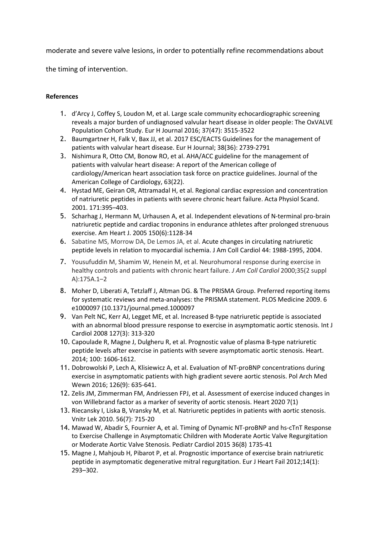moderate and severe valve lesions, in order to potentially refine recommendations about

the timing of intervention.

# **References**

- 1. d'Arcy J, Coffey S, Loudon M, et al. Large scale community echocardiographic screening reveals a major burden of undiagnosed valvular heart disease in older people: The OxVALVE Population Cohort Study. Eur H Journal 2016; 37(47): 3515-3522
- 2. Baumgartner H, Falk V, Bax JJ, et al. 2017 ESC/EACTS Guidelines for the management of patients with valvular heart disease. Eur H Journal; 38(36): 2739-2791
- 3. Nishimura R, Otto CM, Bonow RO, et al. AHA/ACC guideline for the management of patients with valvular heart disease: A report of the American college of cardiology/American heart association task force on practice guidelines. Journal of the American College of Cardiology, 63(22).
- 4. Hystad ME, Geiran OR, Attramadal H, et al. Regional cardiac expression and concentration of natriuretic peptides in patients with severe chronic heart failure. Acta Physiol Scand. 2001. 171:395–403.
- 5. Scharhag J, Hermann M, Urhausen A, et al. Independent elevations of N-terminal pro-brain natriuretic peptide and cardiac troponins in endurance athletes after prolonged strenuous exercise. Am Heart J. 2005 150(6):1128-34
- 6. Sabatine MS, Morrow DA, De Lemos JA, et al. Acute changes in circulating natriuretic peptide levels in relation to myocardial ischemia. J Am Coll Cardiol 44: 1988-1995, 2004.
- 7. Yousufuddin M, Shamim W, Henein M, et al. Neurohumoral response during exercise in healthy controls and patients with chronic heart failure. *J Am Coll Cardiol* 2000;35(2 suppl A):175A.1–2
- 8. Moher D, Liberati A, Tetzlaff J, Altman DG. & The PRISMA Group. Preferred reporting items for systematic reviews and meta-analyses: the PRISMA statement. PLOS Medicine 2009. 6 e1000097 (10.1371/journal.pmed.1000097
- 9. Van Pelt NC, Kerr AJ, Legget ME, et al. Increased B-type natriuretic peptide is associated with an abnormal blood pressure response to exercise in asymptomatic aortic stenosis. Int J Cardiol 2008 127(3): 313-320
- 10. Capoulade R, Magne J, Dulgheru R, et al. Prognostic value of plasma B-type natriuretic peptide levels after exercise in patients with severe asymptomatic aortic stenosis. Heart. 2014; 100: 1606-1612.
- 11. Dobrowolski P, Lech A, Klisiewicz A, et al. Evaluation of NT-proBNP concentrations during exercise in asymptomatic patients with high gradient severe aortic stenosis. Pol Arch Med Wewn 2016; 126(9): 635-641.
- 12. Zelis JM, Zimmerman FM, Andriessen FPJ, et al. Assessment of exercise induced changes in von Willebrand factor as a marker of severity of aortic stenosis. Heart 2020 7(1)
- 13. Riecansky I, Liska B, Vransky M, et al. Natriuretic peptides in patients with aortic stenosis. Vnitr Lek 2010. 56(7): 715-20
- 14. Mawad W, Abadir S, Fournier A, et al. Timing of Dynamic NT-proBNP and hs-cTnT Response to Exercise Challenge in Asymptomatic Children with Moderate Aortic Valve Regurgitation or Moderate Aortic Valve Stenosis. Pediatr Cardiol 2015 36(8) 1735-41
- 15. Magne J, Mahjoub H, Pibarot P, et al. Prognostic importance of exercise brain natriuretic peptide in asymptomatic degenerative mitral regurgitation. Eur J Heart Fail 2012;14(1): 293–302.